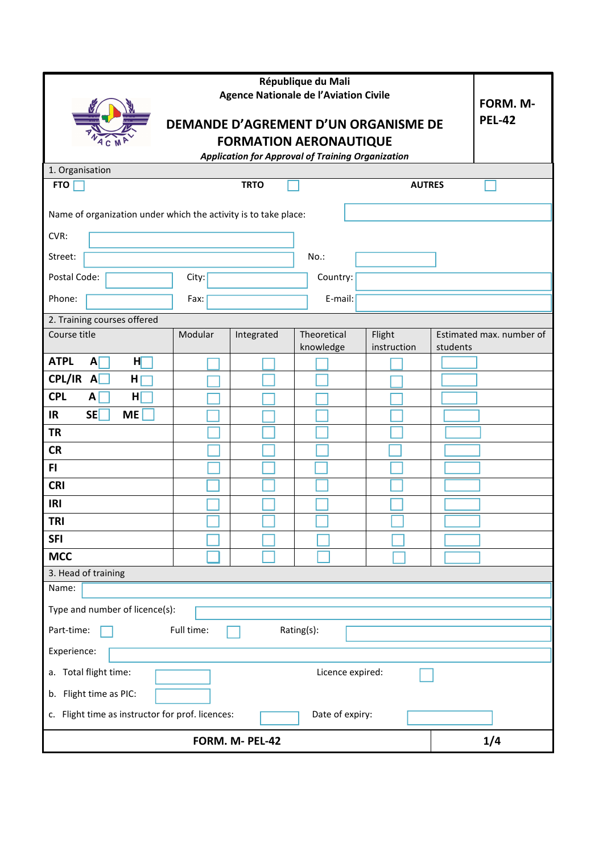|                                                                       | FORM. M-<br><b>PEL-42</b> |                 |                          |                       |          |                          |  |  |  |
|-----------------------------------------------------------------------|---------------------------|-----------------|--------------------------|-----------------------|----------|--------------------------|--|--|--|
| DEMANDE D'AGREMENT D'UN ORGANISME DE<br><b>FORMATION AERONAUTIQUE</b> |                           |                 |                          |                       |          |                          |  |  |  |
| <b>Application for Approval of Training Organization</b>              |                           |                 |                          |                       |          |                          |  |  |  |
| 1. Organisation                                                       |                           |                 |                          |                       |          |                          |  |  |  |
| <b>FTO</b>                                                            |                           | <b>TRTO</b>     |                          | <b>AUTRES</b>         |          |                          |  |  |  |
| Name of organization under which the activity is to take place:       |                           |                 |                          |                       |          |                          |  |  |  |
| CVR:                                                                  |                           |                 |                          |                       |          |                          |  |  |  |
| Street:                                                               |                           |                 | $No.$ :                  |                       |          |                          |  |  |  |
| Postal Code:                                                          | City:                     |                 | Country:                 |                       |          |                          |  |  |  |
| Phone:                                                                | Fax:                      |                 | E-mail:                  |                       |          |                          |  |  |  |
| 2. Training courses offered                                           |                           |                 |                          |                       |          |                          |  |  |  |
| Course title                                                          | Modular                   | Integrated      | Theoretical<br>knowledge | Flight<br>instruction | students | Estimated max. number of |  |  |  |
| <b>ATPL</b><br>$\mathsf{A}$<br>нг                                     |                           |                 |                          |                       |          |                          |  |  |  |
| CPL/IR A<br>H                                                         |                           |                 |                          |                       |          |                          |  |  |  |
| <b>CPL</b><br>H<br>A                                                  |                           |                 |                          |                       |          |                          |  |  |  |
| <b>SE</b><br><b>IR</b><br><b>ME</b>                                   |                           |                 |                          |                       |          |                          |  |  |  |
| <b>TR</b>                                                             |                           |                 |                          |                       |          |                          |  |  |  |
| <b>CR</b>                                                             |                           |                 |                          |                       |          |                          |  |  |  |
| F1                                                                    |                           |                 |                          |                       |          |                          |  |  |  |
| <b>CRI</b>                                                            |                           |                 |                          |                       |          |                          |  |  |  |
| <b>IRI</b>                                                            |                           |                 |                          |                       |          |                          |  |  |  |
| <b>TRI</b>                                                            |                           |                 |                          |                       |          |                          |  |  |  |
| <b>SFI</b>                                                            |                           |                 |                          |                       |          |                          |  |  |  |
| <b>MCC</b>                                                            |                           |                 |                          |                       |          |                          |  |  |  |
| 3. Head of training                                                   |                           |                 |                          |                       |          |                          |  |  |  |
| Name:                                                                 |                           |                 |                          |                       |          |                          |  |  |  |
| Type and number of licence(s):                                        |                           |                 |                          |                       |          |                          |  |  |  |
| Part-time:<br>Full time:<br>Rating(s):                                |                           |                 |                          |                       |          |                          |  |  |  |
| Experience:                                                           |                           |                 |                          |                       |          |                          |  |  |  |
| a. Total flight time:<br>Licence expired:                             |                           |                 |                          |                       |          |                          |  |  |  |
| b. Flight time as PIC:                                                |                           |                 |                          |                       |          |                          |  |  |  |
| c. Flight time as instructor for prof. licences:<br>Date of expiry:   |                           |                 |                          |                       |          |                          |  |  |  |
|                                                                       |                           | FORM. M- PEL-42 |                          |                       |          | 1/4                      |  |  |  |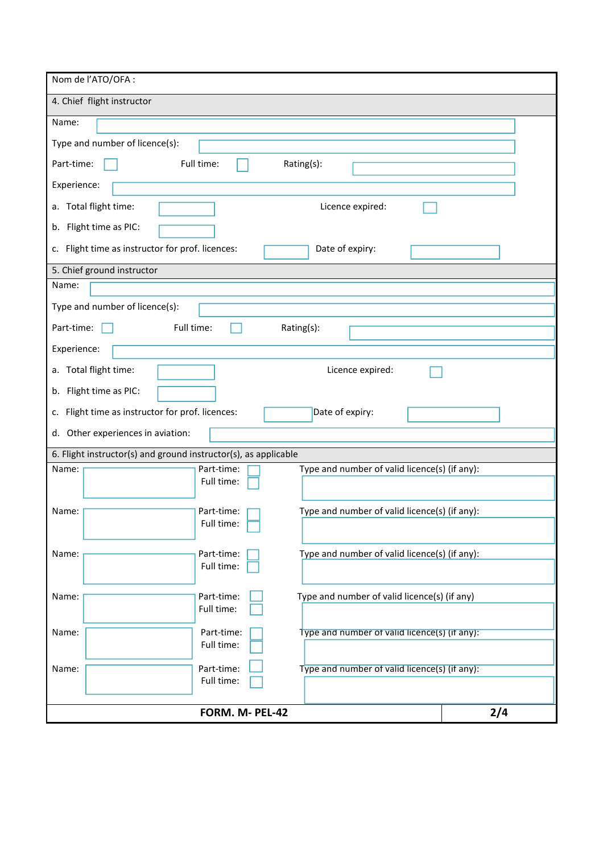| Nom de l'ATO/OFA :                                                     |     |  |  |  |  |
|------------------------------------------------------------------------|-----|--|--|--|--|
| 4. Chief flight instructor                                             |     |  |  |  |  |
| Name:                                                                  |     |  |  |  |  |
| Type and number of licence(s):                                         |     |  |  |  |  |
| Full time:<br>Part-time:<br>Rating(s):                                 |     |  |  |  |  |
| Experience:                                                            |     |  |  |  |  |
| a. Total flight time:<br>Licence expired:                              |     |  |  |  |  |
| b. Flight time as PIC:                                                 |     |  |  |  |  |
| c. Flight time as instructor for prof. licences:<br>Date of expiry:    |     |  |  |  |  |
| 5. Chief ground instructor                                             |     |  |  |  |  |
| Name:                                                                  |     |  |  |  |  |
| Type and number of licence(s):                                         |     |  |  |  |  |
| Part-time:<br>Full time:<br>Rating(s):                                 |     |  |  |  |  |
| Experience:                                                            |     |  |  |  |  |
| a. Total flight time:<br>Licence expired:                              |     |  |  |  |  |
| b. Flight time as PIC:                                                 |     |  |  |  |  |
| Flight time as instructor for prof. licences:<br>Date of expiry:<br>c. |     |  |  |  |  |
| d. Other experiences in aviation:                                      |     |  |  |  |  |
| 6. Flight instructor(s) and ground instructor(s), as applicable        |     |  |  |  |  |
| Part-time:<br>Type and number of valid licence(s) (if any):<br>Name:   |     |  |  |  |  |
| Full time:                                                             |     |  |  |  |  |
| Type and number of valid licence(s) (if any):<br>Name:<br>Part-time:   |     |  |  |  |  |
| Full time:                                                             |     |  |  |  |  |
| Type and number of valid licence(s) (if any):<br>Name:<br>Part-time:   |     |  |  |  |  |
| Full time:                                                             |     |  |  |  |  |
| Part-time:<br>Type and number of valid licence(s) (if any)<br>Name:    |     |  |  |  |  |
| Full time:                                                             |     |  |  |  |  |
| Name:<br>Part-time:<br>Type and number of valid licence(s) (if any):   |     |  |  |  |  |
| Full time:                                                             |     |  |  |  |  |
| Part-time:<br>Type and number of valid licence(s) (if any):<br>Name:   |     |  |  |  |  |
| Full time:                                                             |     |  |  |  |  |
| FORM. M- PEL-42                                                        | 2/4 |  |  |  |  |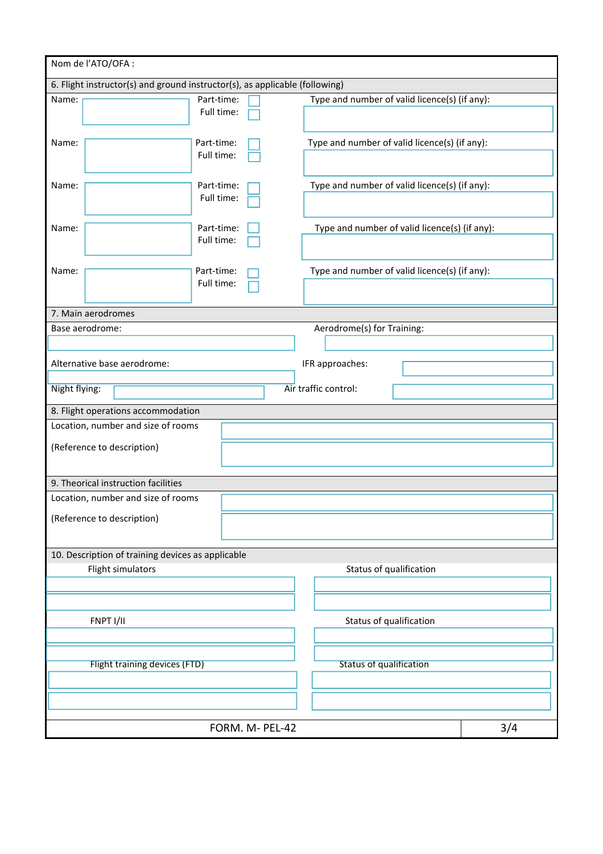| Nom de l'ATO/OFA :                                                          |            |                                               |     |  |  |  |  |
|-----------------------------------------------------------------------------|------------|-----------------------------------------------|-----|--|--|--|--|
| 6. Flight instructor(s) and ground instructor(s), as applicable (following) |            |                                               |     |  |  |  |  |
| Name:                                                                       | Part-time: | Type and number of valid licence(s) (if any): |     |  |  |  |  |
|                                                                             | Full time: |                                               |     |  |  |  |  |
|                                                                             |            |                                               |     |  |  |  |  |
| Name:                                                                       | Part-time: | Type and number of valid licence(s) (if any): |     |  |  |  |  |
|                                                                             | Full time: |                                               |     |  |  |  |  |
|                                                                             |            |                                               |     |  |  |  |  |
| Name:                                                                       | Part-time: | Type and number of valid licence(s) (if any): |     |  |  |  |  |
|                                                                             | Full time: |                                               |     |  |  |  |  |
|                                                                             |            |                                               |     |  |  |  |  |
| Name:                                                                       | Part-time: | Type and number of valid licence(s) (if any): |     |  |  |  |  |
|                                                                             | Full time: |                                               |     |  |  |  |  |
|                                                                             |            |                                               |     |  |  |  |  |
| Name:                                                                       | Part-time: | Type and number of valid licence(s) (if any): |     |  |  |  |  |
|                                                                             | Full time: |                                               |     |  |  |  |  |
|                                                                             |            |                                               |     |  |  |  |  |
| 7. Main aerodromes                                                          |            |                                               |     |  |  |  |  |
| Base aerodrome:                                                             |            | Aerodrome(s) for Training:                    |     |  |  |  |  |
|                                                                             |            |                                               |     |  |  |  |  |
| Alternative base aerodrome:                                                 |            | IFR approaches:                               |     |  |  |  |  |
|                                                                             |            |                                               |     |  |  |  |  |
| Night flying:                                                               |            | Air traffic control:                          |     |  |  |  |  |
| 8. Flight operations accommodation                                          |            |                                               |     |  |  |  |  |
| Location, number and size of rooms                                          |            |                                               |     |  |  |  |  |
| (Reference to description)                                                  |            |                                               |     |  |  |  |  |
|                                                                             |            |                                               |     |  |  |  |  |
|                                                                             |            |                                               |     |  |  |  |  |
| 9. Theorical instruction facilities                                         |            |                                               |     |  |  |  |  |
| Location, number and size of rooms                                          |            |                                               |     |  |  |  |  |
| (Reference to description)                                                  |            |                                               |     |  |  |  |  |
|                                                                             |            |                                               |     |  |  |  |  |
|                                                                             |            |                                               |     |  |  |  |  |
| 10. Description of training devices as applicable                           |            |                                               |     |  |  |  |  |
| Flight simulators                                                           |            | Status of qualification                       |     |  |  |  |  |
|                                                                             |            |                                               |     |  |  |  |  |
|                                                                             |            |                                               |     |  |  |  |  |
| FNPT I/II                                                                   |            | Status of qualification                       |     |  |  |  |  |
|                                                                             |            |                                               |     |  |  |  |  |
|                                                                             |            |                                               |     |  |  |  |  |
| Flight training devices (FTD)                                               |            | <b>Status of qualification</b>                |     |  |  |  |  |
|                                                                             |            |                                               |     |  |  |  |  |
|                                                                             |            |                                               |     |  |  |  |  |
|                                                                             |            |                                               |     |  |  |  |  |
| FORM. M- PEL-42                                                             |            |                                               | 3/4 |  |  |  |  |